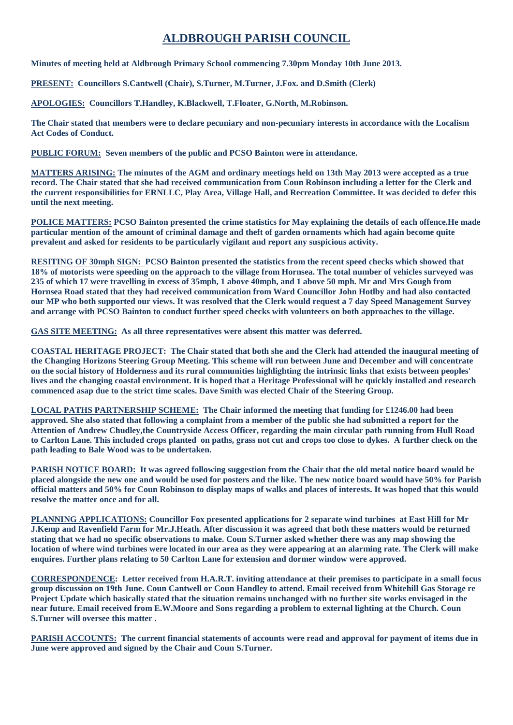## **ALDBROUGH PARISH COUNCIL**

**Minutes of meeting held at Aldbrough Primary School commencing 7.30pm Monday 10th June 2013.**

**PRESENT: Councillors S.Cantwell (Chair), S.Turner, M.Turner, J.Fox. and D.Smith (Clerk)**

**APOLOGIES: Councillors T.Handley, K.Blackwell, T.Floater, G.North, M.Robinson.**

**The Chair stated that members were to declare pecuniary and non-pecuniary interests in accordance with the Localism Act Codes of Conduct.**

**PUBLIC FORUM: Seven members of the public and PCSO Bainton were in attendance.**

**MATTERS ARISING: The minutes of the AGM and ordinary meetings held on 13th May 2013 were accepted as a true record. The Chair stated that she had received communication from Coun Robinson including a letter for the Clerk and the current responsibilities for ERNLLC, Play Area, Village Hall, and Recreation Committee. It was decided to defer this until the next meeting.**

**POLICE MATTERS: PCSO Bainton presented the crime statistics for May explaining the details of each offence.He made particular mention of the amount of criminal damage and theft of garden ornaments which had again become quite prevalent and asked for residents to be particularly vigilant and report any suspicious activity.**

**RESITING OF 30mph SIGN: PCSO Bainton presented the statistics from the recent speed checks which showed that 18% of motorists were speeding on the approach to the village from Hornsea. The total number of vehicles surveyed was 235 of which 17 were travelling in excess of 35mph, 1 above 40mph, and 1 above 50 mph. Mr and Mrs Gough from Hornsea Road stated that they had received communication from Ward Councillor John Hotlby and had also contacted our MP who both supported our views. It was resolved that the Clerk would request a 7 day Speed Management Survey and arrange with PCSO Bainton to conduct further speed checks with volunteers on both approaches to the village.**

**GAS SITE MEETING: As all three representatives were absent this matter was deferred.**

**COASTAL HERITAGE PROJECT: The Chair stated that both she and the Clerk had attended the inaugural meeting of the Changing Horizons Steering Group Meeting. This scheme will run between June and December and will concentrate on the social history of Holderness and its rural communities highlighting the intrinsic links that exists between peoples' lives and the changing coastal environment. It is hoped that a Heritage Professional will be quickly installed and research commenced asap due to the strict time scales. Dave Smith was elected Chair of the Steering Group.**

**LOCAL PATHS PARTNERSHIP SCHEME: The Chair informed the meeting that funding for £1246.00 had been approved. She also stated that following a complaint from a member of the public she had submitted a report for the Attention of Andrew Chudley,the Countryside Access Officer, regarding the main circular path running from Hull Road to Carlton Lane. This included crops planted on paths, grass not cut and crops too close to dykes. A further check on the path leading to Bale Wood was to be undertaken.**

**PARISH NOTICE BOARD: It was agreed following suggestion from the Chair that the old metal notice board would be placed alongside the new one and would be used for posters and the like. The new notice board would have 50% for Parish official matters and 50% for Coun Robinson to display maps of walks and places of interests. It was hoped that this would resolve the matter once and for all.**

**PLANNING APPLICATIONS: Councillor Fox presented applications for 2 separate wind turbines at East Hill for Mr J.Kemp and Ravenfield Farm for Mr.J.Heath. After discussion it was agreed that both these matters would be returned stating that we had no specific observations to make. Coun S.Turner asked whether there was any map showing the location of where wind turbines were located in our area as they were appearing at an alarming rate. The Clerk will make enquires. Further plans relating to 50 Carlton Lane for extension and dormer window were approved.**

**CORRESPONDENCE: Letter received from H.A.R.T. inviting attendance at their premises to participate in a small focus group discussion on 19th June. Coun Cantwell or Coun Handley to attend. Email received from Whitehill Gas Storage re Project Update which basically stated that the situation remains unchanged with no further site works envisaged in the near future. Email received from E.W.Moore and Sons regarding a problem to external lighting at the Church. Coun S.Turner will oversee this matter .**

**PARISH ACCOUNTS: The current financial statements of accounts were read and approval for payment of items due in June were approved and signed by the Chair and Coun S.Turner.**